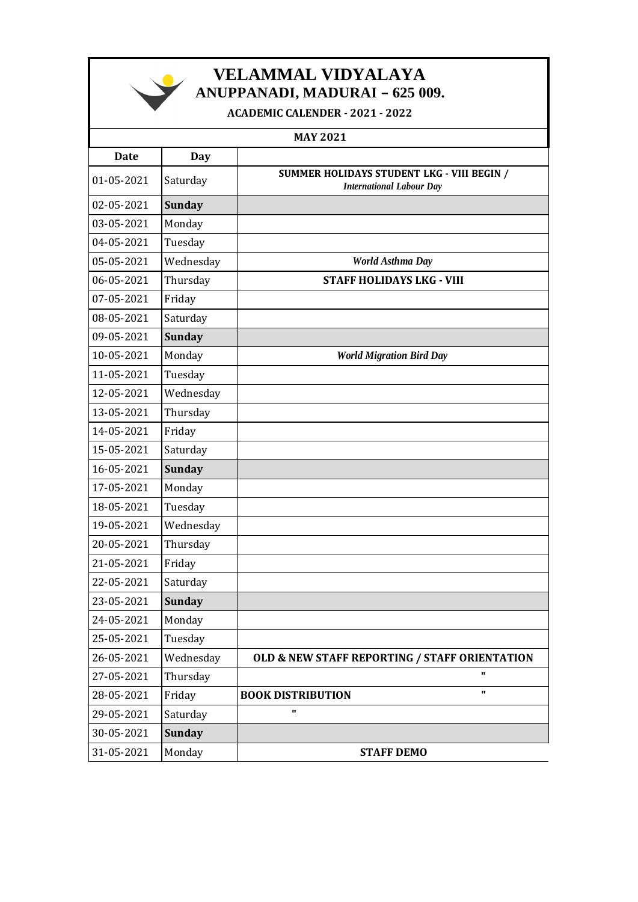

*NELAMMAL VIDYALAYA* **ANUPPANADI, MADURAI – 625 009.**

**ACADEMIC CALENDER - 2021 - 2022**

| <b>MAY 2021</b> |               |                                                                               |
|-----------------|---------------|-------------------------------------------------------------------------------|
| <b>Date</b>     | Day           |                                                                               |
| 01-05-2021      | Saturday      | SUMMER HOLIDAYS STUDENT LKG - VIII BEGIN /<br><b>International Labour Day</b> |
| 02-05-2021      | <b>Sunday</b> |                                                                               |
| 03-05-2021      | Monday        |                                                                               |
| 04-05-2021      | Tuesday       |                                                                               |
| 05-05-2021      | Wednesday     | World Asthma Day                                                              |
| 06-05-2021      | Thursday      | <b>STAFF HOLIDAYS LKG - VIII</b>                                              |
| 07-05-2021      | Friday        |                                                                               |
| 08-05-2021      | Saturday      |                                                                               |
| 09-05-2021      | <b>Sunday</b> |                                                                               |
| 10-05-2021      | Monday        | <b>World Migration Bird Day</b>                                               |
| 11-05-2021      | Tuesday       |                                                                               |
| 12-05-2021      | Wednesday     |                                                                               |
| 13-05-2021      | Thursday      |                                                                               |
| 14-05-2021      | Friday        |                                                                               |
| 15-05-2021      | Saturday      |                                                                               |
| 16-05-2021      | <b>Sunday</b> |                                                                               |
| 17-05-2021      | Monday        |                                                                               |
| 18-05-2021      | Tuesday       |                                                                               |
| 19-05-2021      | Wednesday     |                                                                               |
| 20-05-2021      | Thursday      |                                                                               |
| 21-05-2021      | Friday        |                                                                               |
| 22-05-2021      | Saturday      |                                                                               |
| 23-05-2021      | <b>Sunday</b> |                                                                               |
| 24-05-2021      | Monday        |                                                                               |
| 25-05-2021      | Tuesday       |                                                                               |
| 26-05-2021      | Wednesday     | <b>OLD &amp; NEW STAFF REPORTING / STAFF ORIENTATION</b>                      |
| 27-05-2021      | Thursday      | п                                                                             |
| 28-05-2021      | Friday        | $\mathbf{u}$<br><b>BOOK DISTRIBUTION</b>                                      |
| 29-05-2021      | Saturday      | п                                                                             |
| 30-05-2021      | <b>Sunday</b> |                                                                               |
| 31-05-2021      | Monday        | <b>STAFF DEMO</b>                                                             |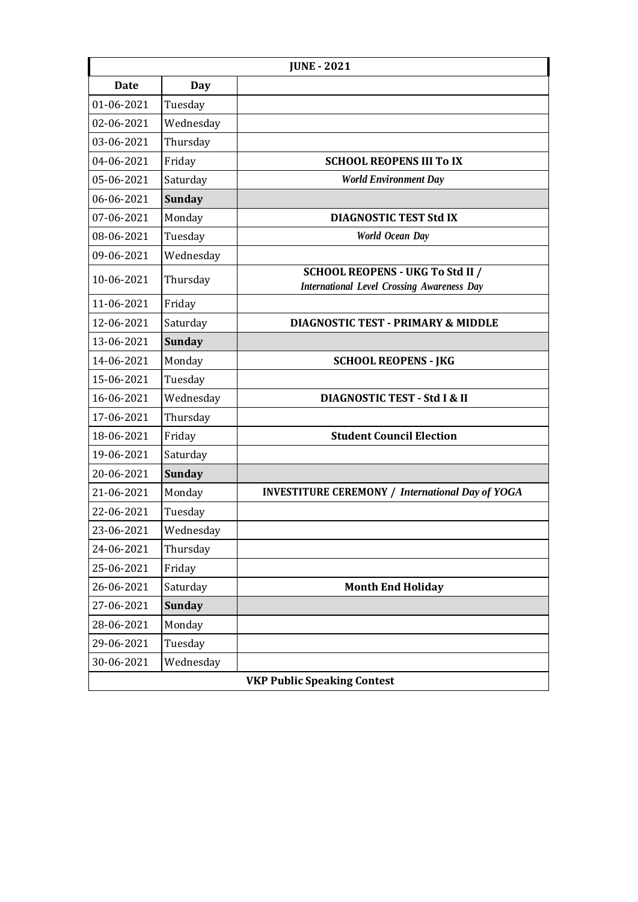| <b>JUNE - 2021</b>                 |               |                                                                                              |
|------------------------------------|---------------|----------------------------------------------------------------------------------------------|
| Date                               | Day           |                                                                                              |
| 01-06-2021                         | Tuesday       |                                                                                              |
| 02-06-2021                         | Wednesday     |                                                                                              |
| 03-06-2021                         | Thursday      |                                                                                              |
| 04-06-2021                         | Friday        | <b>SCHOOL REOPENS III To IX</b>                                                              |
| 05-06-2021                         | Saturday      | <b>World Environment Day</b>                                                                 |
| 06-06-2021                         | <b>Sunday</b> |                                                                                              |
| 07-06-2021                         | Monday        | <b>DIAGNOSTIC TEST Std IX</b>                                                                |
| 08-06-2021                         | Tuesday       | <b>World Ocean Day</b>                                                                       |
| 09-06-2021                         | Wednesday     |                                                                                              |
| 10-06-2021                         | Thursday      | <b>SCHOOL REOPENS - UKG To Std II /</b><br><b>International Level Crossing Awareness Day</b> |
| 11-06-2021                         | Friday        |                                                                                              |
| 12-06-2021                         | Saturday      | <b>DIAGNOSTIC TEST - PRIMARY &amp; MIDDLE</b>                                                |
| 13-06-2021                         | <b>Sunday</b> |                                                                                              |
| 14-06-2021                         | Monday        | <b>SCHOOL REOPENS - JKG</b>                                                                  |
| 15-06-2021                         | Tuesday       |                                                                                              |
| 16-06-2021                         | Wednesday     | DIAGNOSTIC TEST - Std I & II                                                                 |
| 17-06-2021                         | Thursday      |                                                                                              |
| 18-06-2021                         | Friday        | <b>Student Council Election</b>                                                              |
| 19-06-2021                         | Saturday      |                                                                                              |
| 20-06-2021                         | <b>Sunday</b> |                                                                                              |
| 21-06-2021                         | Monday        | <b>INVESTITURE CEREMONY / International Day of YOGA</b>                                      |
| 22-06-2021                         | Tuesday       |                                                                                              |
| 23-06-2021                         | Wednesday     |                                                                                              |
| 24-06-2021                         | Thursday      |                                                                                              |
| 25-06-2021                         | Friday        |                                                                                              |
| 26-06-2021                         | Saturday      | <b>Month End Holiday</b>                                                                     |
| 27-06-2021                         | <b>Sunday</b> |                                                                                              |
| 28-06-2021                         | Monday        |                                                                                              |
| 29-06-2021                         | Tuesday       |                                                                                              |
| 30-06-2021                         | Wednesday     |                                                                                              |
| <b>VKP Public Speaking Contest</b> |               |                                                                                              |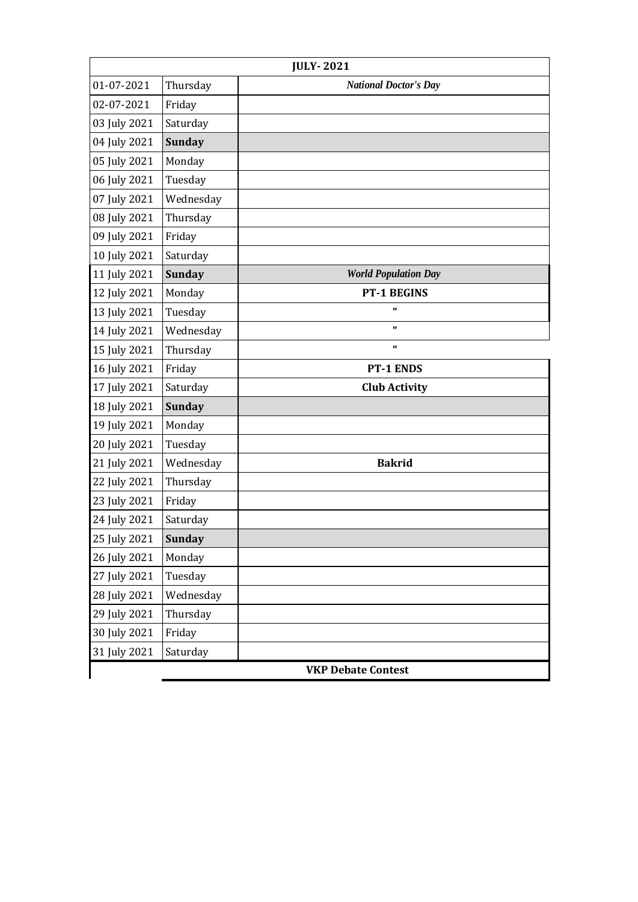| <b>JULY-2021</b>          |               |                              |
|---------------------------|---------------|------------------------------|
| 01-07-2021                | Thursday      | <b>National Doctor's Day</b> |
| 02-07-2021                | Friday        |                              |
| 03 July 2021              | Saturday      |                              |
| 04 July 2021              | <b>Sunday</b> |                              |
| 05 July 2021              | Monday        |                              |
| 06 July 2021              | Tuesday       |                              |
| 07 July 2021              | Wednesday     |                              |
| 08 July 2021              | Thursday      |                              |
| 09 July 2021              | Friday        |                              |
| 10 July 2021              | Saturday      |                              |
| 11 July 2021              | <b>Sunday</b> | <b>World Population Day</b>  |
| 12 July 2021              | Monday        | <b>PT-1 BEGINS</b>           |
| 13 July 2021              | Tuesday       | $\blacksquare$               |
| 14 July 2021              | Wednesday     | $\mathbf{u}$                 |
| 15 July 2021              | Thursday      | $\mathbf{u}$                 |
| 16 July 2021              | Friday        | <b>PT-1 ENDS</b>             |
| 17 July 2021              | Saturday      | <b>Club Activity</b>         |
| 18 July 2021              | <b>Sunday</b> |                              |
| 19 July 2021              | Monday        |                              |
| 20 July 2021              | Tuesday       |                              |
| 21 July 2021              | Wednesday     | <b>Bakrid</b>                |
| 22 July 2021              | Thursday      |                              |
| 23 July 2021              | Friday        |                              |
| 24 July 2021              | Saturday      |                              |
| 25 July 2021              | <b>Sunday</b> |                              |
| 26 July 2021              | Monday        |                              |
| 27 July 2021              | Tuesday       |                              |
| 28 July 2021              | Wednesday     |                              |
| 29 July 2021              | Thursday      |                              |
| 30 July 2021              | Friday        |                              |
| 31 July 2021              | Saturday      |                              |
| <b>VKP Debate Contest</b> |               |                              |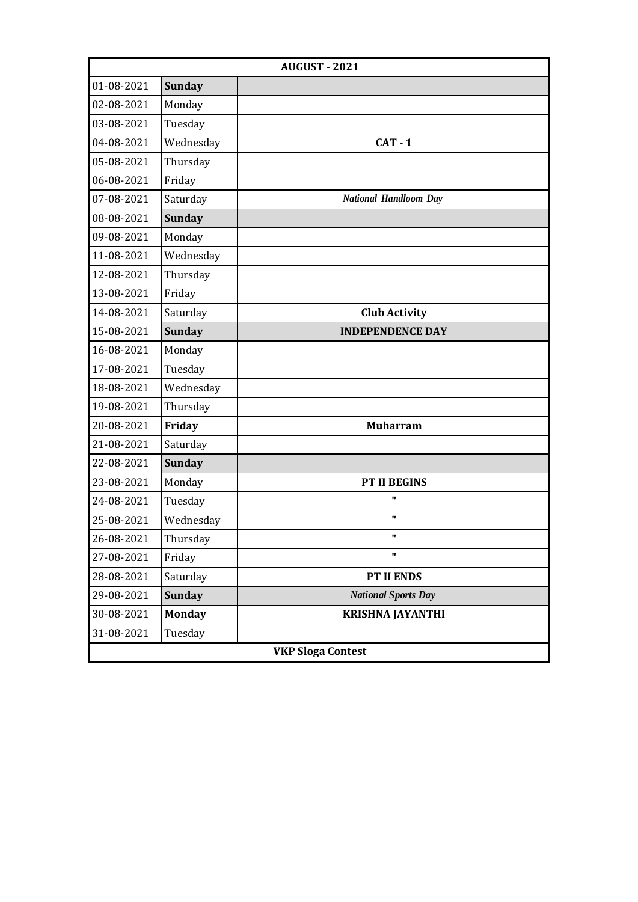| <b>AUGUST - 2021</b>     |               |                              |
|--------------------------|---------------|------------------------------|
| 01-08-2021               | <b>Sunday</b> |                              |
| 02-08-2021               | Monday        |                              |
| 03-08-2021               | Tuesday       |                              |
| 04-08-2021               | Wednesday     | $CAT - 1$                    |
| 05-08-2021               | Thursday      |                              |
| 06-08-2021               | Friday        |                              |
| 07-08-2021               | Saturday      | <b>National Handloom Day</b> |
| 08-08-2021               | <b>Sunday</b> |                              |
| 09-08-2021               | Monday        |                              |
| 11-08-2021               | Wednesday     |                              |
| 12-08-2021               | Thursday      |                              |
| 13-08-2021               | Friday        |                              |
| 14-08-2021               | Saturday      | <b>Club Activity</b>         |
| 15-08-2021               | <b>Sunday</b> | <b>INDEPENDENCE DAY</b>      |
| 16-08-2021               | Monday        |                              |
| 17-08-2021               | Tuesday       |                              |
| 18-08-2021               | Wednesday     |                              |
| 19-08-2021               | Thursday      |                              |
| 20-08-2021               | Friday        | <b>Muharram</b>              |
| 21-08-2021               | Saturday      |                              |
| 22-08-2021               | <b>Sunday</b> |                              |
| 23-08-2021               | Monday        | <b>PT II BEGINS</b>          |
| 24-08-2021               | Tuesday       | $\mathbf{u}$                 |
| 25-08-2021               | Wednesday     | $\mathbf{u}$                 |
| 26-08-2021               | Thursday      |                              |
| 27-08-2021               | Friday        | $\mathbf{u}$                 |
| 28-08-2021               | Saturday      | PT II ENDS                   |
| 29-08-2021               | <b>Sunday</b> | <b>National Sports Day</b>   |
| 30-08-2021               | <b>Monday</b> | <b>KRISHNA JAYANTHI</b>      |
| 31-08-2021               | Tuesday       |                              |
| <b>VKP Sloga Contest</b> |               |                              |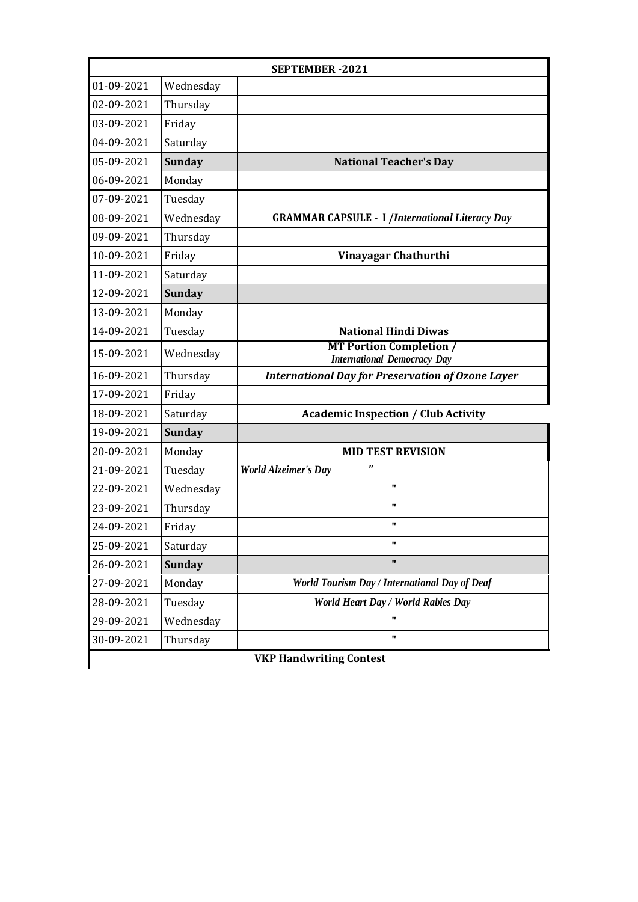|                                | <b>SEPTEMBER-2021</b> |                                                                      |  |
|--------------------------------|-----------------------|----------------------------------------------------------------------|--|
| 01-09-2021                     | Wednesday             |                                                                      |  |
| 02-09-2021                     | Thursday              |                                                                      |  |
| 03-09-2021                     | Friday                |                                                                      |  |
| 04-09-2021                     | Saturday              |                                                                      |  |
| 05-09-2021                     | <b>Sunday</b>         | <b>National Teacher's Day</b>                                        |  |
| 06-09-2021                     | Monday                |                                                                      |  |
| 07-09-2021                     | Tuesday               |                                                                      |  |
| 08-09-2021                     | Wednesday             | <b>GRAMMAR CAPSULE - I /International Literacy Day</b>               |  |
| 09-09-2021                     | Thursday              |                                                                      |  |
| 10-09-2021                     | Friday                | Vinayagar Chathurthi                                                 |  |
| 11-09-2021                     | Saturday              |                                                                      |  |
| 12-09-2021                     | <b>Sunday</b>         |                                                                      |  |
| 13-09-2021                     | Monday                |                                                                      |  |
| 14-09-2021                     | Tuesday               | <b>National Hindi Diwas</b>                                          |  |
| 15-09-2021                     | Wednesday             | <b>MT Portion Completion /</b><br><b>International Democracy Day</b> |  |
| 16-09-2021                     | Thursday              | <b>International Day for Preservation of Ozone Layer</b>             |  |
| 17-09-2021                     | Friday                |                                                                      |  |
| 18-09-2021                     | Saturday              | <b>Academic Inspection / Club Activity</b>                           |  |
| 19-09-2021                     | <b>Sunday</b>         |                                                                      |  |
| 20-09-2021                     | Monday                | <b>MID TEST REVISION</b>                                             |  |
| 21-09-2021                     | Tuesday               | $\boldsymbol{\mathsf{r}}$<br><b>World Alzeimer's Day</b>             |  |
| 22-09-2021                     | Wednesday             | $\mathbf{u}$                                                         |  |
| 23-09-2021                     | Thursday              | $\mathbf{u}$                                                         |  |
| 24-09-2021                     | Friday                | $\mathbf{u}$                                                         |  |
| 25-09-2021                     | Saturday              | $\mathbf{u}$                                                         |  |
| 26-09-2021                     | <b>Sunday</b>         |                                                                      |  |
| 27-09-2021                     | Monday                | World Tourism Day / International Day of Deaf                        |  |
| 28-09-2021                     | Tuesday               | World Heart Day / World Rabies Day                                   |  |
| 29-09-2021                     | Wednesday             |                                                                      |  |
| 30-09-2021                     | Thursday              | $\mathbf{u}$                                                         |  |
| <b>VKP Handwriting Contest</b> |                       |                                                                      |  |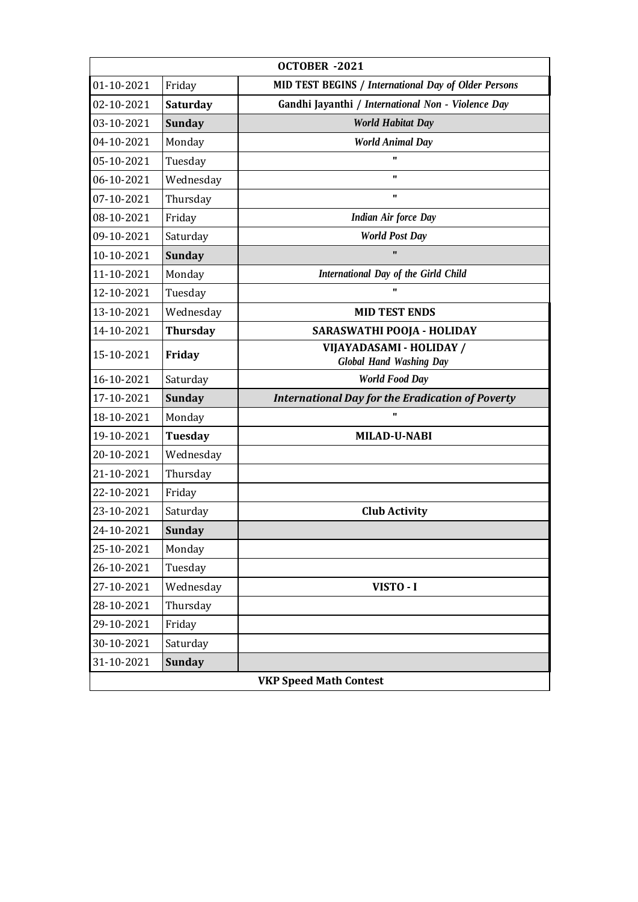| OCTOBER -2021                 |                 |                                                            |
|-------------------------------|-----------------|------------------------------------------------------------|
| 01-10-2021                    | Friday          | MID TEST BEGINS / International Day of Older Persons       |
| 02-10-2021                    | Saturday        | Gandhi Jayanthi / International Non - Violence Day         |
| 03-10-2021                    | <b>Sunday</b>   | <b>World Habitat Day</b>                                   |
| 04-10-2021                    | Monday          | <b>World Animal Day</b>                                    |
| 05-10-2021                    | Tuesday         | $\blacksquare$                                             |
| 06-10-2021                    | Wednesday       | $\mathbf{u}$                                               |
| 07-10-2021                    | Thursday        | "                                                          |
| 08-10-2021                    | Friday          | <b>Indian Air force Day</b>                                |
| 09-10-2021                    | Saturday        | <b>World Post Day</b>                                      |
| 10-10-2021                    | <b>Sunday</b>   |                                                            |
| 11-10-2021                    | Monday          | International Day of the Girld Child                       |
| 12-10-2021                    | Tuesday         |                                                            |
| 13-10-2021                    | Wednesday       | <b>MID TEST ENDS</b>                                       |
| 14-10-2021                    | <b>Thursday</b> | SARASWATHI POOJA - HOLIDAY                                 |
| 15-10-2021                    | Friday          | VIJAYADASAMI - HOLIDAY /<br><b>Global Hand Washing Day</b> |
| 16-10-2021                    | Saturday        | <b>World Food Day</b>                                      |
| 17-10-2021                    | <b>Sunday</b>   | <b>International Day for the Eradication of Poverty</b>    |
| 18-10-2021                    | Monday          | $\mathbf{u}$                                               |
| 19-10-2021                    | <b>Tuesday</b>  | <b>MILAD-U-NABI</b>                                        |
| 20-10-2021                    | Wednesday       |                                                            |
| 21-10-2021                    | Thursday        |                                                            |
| 22-10-2021                    | Friday          |                                                            |
| 23-10-2021                    | Saturday        | <b>Club Activity</b>                                       |
| 24-10-2021                    | <b>Sunday</b>   |                                                            |
| 25-10-2021                    | Monday          |                                                            |
| 26-10-2021                    | Tuesday         |                                                            |
| 27-10-2021                    | Wednesday       | VISTO - I                                                  |
| 28-10-2021                    | Thursday        |                                                            |
| 29-10-2021                    | Friday          |                                                            |
| 30-10-2021                    | Saturday        |                                                            |
| 31-10-2021                    | <b>Sunday</b>   |                                                            |
| <b>VKP Speed Math Contest</b> |                 |                                                            |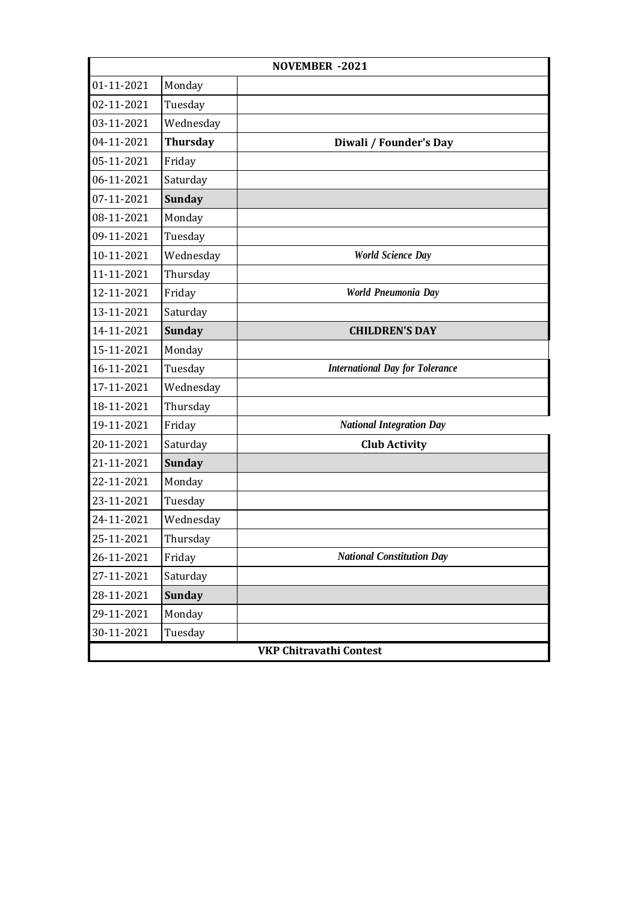| <b>NOVEMBER -2021</b>          |                 |                                        |
|--------------------------------|-----------------|----------------------------------------|
| 01-11-2021                     | Monday          |                                        |
| 02-11-2021                     | Tuesday         |                                        |
| 03-11-2021                     | Wednesday       |                                        |
| 04-11-2021                     | <b>Thursday</b> | Diwali / Founder's Day                 |
| 05-11-2021                     | Friday          |                                        |
| 06-11-2021                     | Saturday        |                                        |
| 07-11-2021                     | <b>Sunday</b>   |                                        |
| 08-11-2021                     | Monday          |                                        |
| 09-11-2021                     | Tuesday         |                                        |
| 10-11-2021                     | Wednesday       | <b>World Science Day</b>               |
| 11-11-2021                     | Thursday        |                                        |
| 12-11-2021                     | Friday          | World Pneumonia Day                    |
| 13-11-2021                     | Saturday        |                                        |
| 14-11-2021                     | <b>Sunday</b>   | <b>CHILDREN'S DAY</b>                  |
| 15-11-2021                     | Monday          |                                        |
| 16-11-2021                     | Tuesday         | <b>International Day for Tolerance</b> |
| 17-11-2021                     | Wednesday       |                                        |
| 18-11-2021                     | Thursday        |                                        |
| 19-11-2021                     | Friday          | <b>National Integration Day</b>        |
| 20-11-2021                     | Saturday        | <b>Club Activity</b>                   |
| 21-11-2021                     | <b>Sunday</b>   |                                        |
| 22-11-2021                     | Monday          |                                        |
| 23-11-2021                     | Tuesday         |                                        |
| 24-11-2021                     | Wednesday       |                                        |
| 25-11-2021                     | Thursday        |                                        |
| 26-11-2021                     | Friday          | <b>National Constitution Day</b>       |
| 27-11-2021                     | Saturday        |                                        |
| 28-11-2021                     | <b>Sunday</b>   |                                        |
| 29-11-2021                     | Monday          |                                        |
| 30-11-2021                     | Tuesday         |                                        |
| <b>VKP Chitravathi Contest</b> |                 |                                        |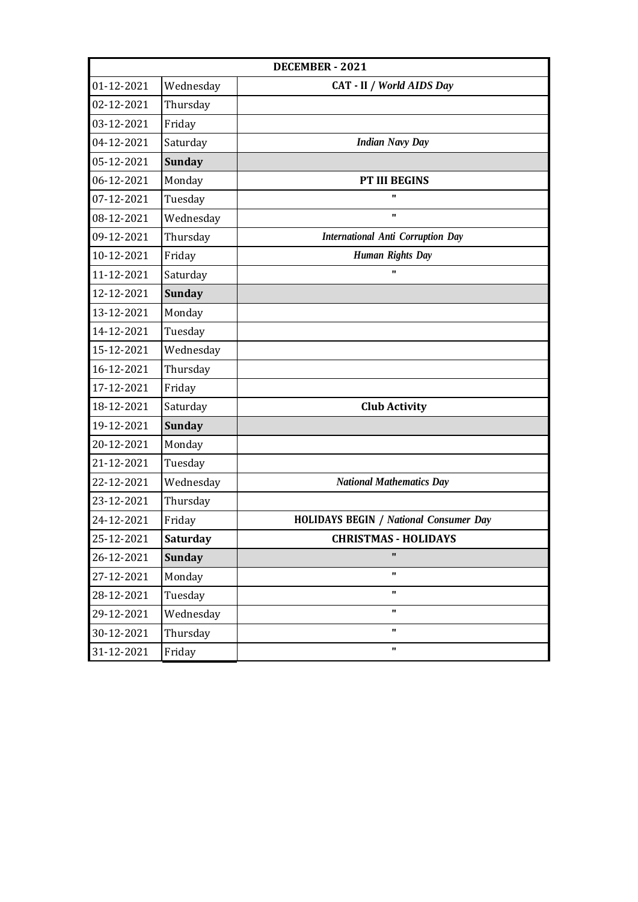| <b>DECEMBER - 2021</b> |                 |                                               |
|------------------------|-----------------|-----------------------------------------------|
| 01-12-2021             | Wednesday       | CAT - II / World AIDS Day                     |
| 02-12-2021             | Thursday        |                                               |
| 03-12-2021             | Friday          |                                               |
| 04-12-2021             | Saturday        | <b>Indian Navy Day</b>                        |
| 05-12-2021             | <b>Sunday</b>   |                                               |
| 06-12-2021             | Monday          | <b>PT III BEGINS</b>                          |
| 07-12-2021             | Tuesday         | $\mathbf{u}$                                  |
| 08-12-2021             | Wednesday       | $\mathbf{u}$                                  |
| 09-12-2021             | Thursday        | <b>International Anti Corruption Day</b>      |
| 10-12-2021             | Friday          | <b>Human Rights Day</b>                       |
| 11-12-2021             | Saturday        | $\mathbf{u}$                                  |
| 12-12-2021             | <b>Sunday</b>   |                                               |
| 13-12-2021             | Monday          |                                               |
| 14-12-2021             | Tuesday         |                                               |
| 15-12-2021             | Wednesday       |                                               |
| 16-12-2021             | Thursday        |                                               |
| 17-12-2021             | Friday          |                                               |
| 18-12-2021             | Saturday        | <b>Club Activity</b>                          |
| 19-12-2021             | <b>Sunday</b>   |                                               |
| 20-12-2021             | Monday          |                                               |
| 21-12-2021             | Tuesday         |                                               |
| 22-12-2021             | Wednesday       | <b>National Mathematics Day</b>               |
| 23-12-2021             | Thursday        |                                               |
| 24-12-2021             | Friday          | <b>HOLIDAYS BEGIN / National Consumer Day</b> |
| 25-12-2021             | <b>Saturday</b> | <b>CHRISTMAS - HOLIDAYS</b>                   |
| 26-12-2021             | <b>Sunday</b>   |                                               |
| 27-12-2021             | Monday          | $\mathbf{u}$                                  |
| 28-12-2021             | Tuesday         | $\mathbf{u}$                                  |
| 29-12-2021             | Wednesday       | $\mathbf{u}$                                  |
| 30-12-2021             | Thursday        | $\pmb{\Pi}$                                   |
| 31-12-2021             | Friday          | $\mathbf{u}$                                  |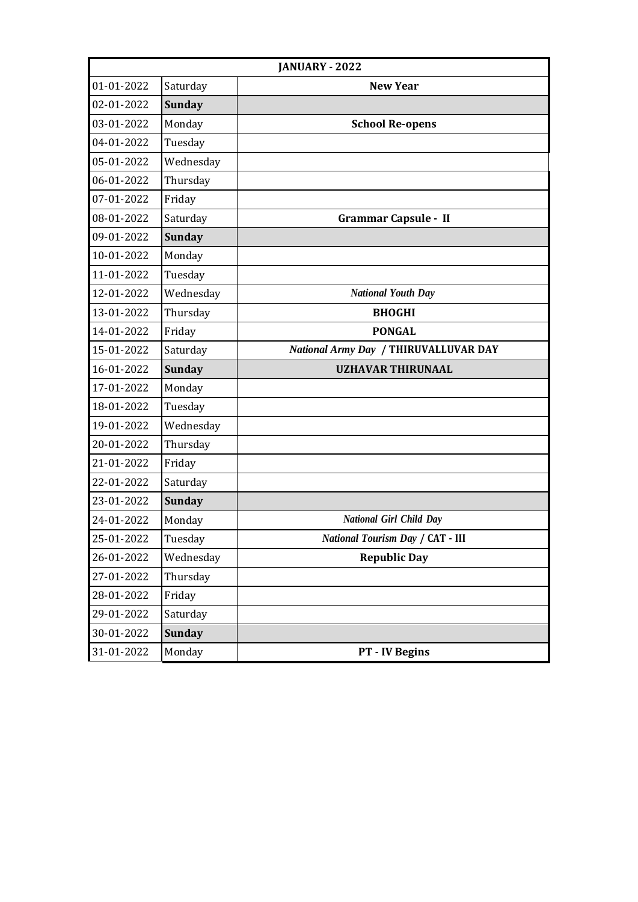|            | JANUARY - 2022 |                                         |  |
|------------|----------------|-----------------------------------------|--|
| 01-01-2022 | Saturday       | <b>New Year</b>                         |  |
| 02-01-2022 | <b>Sunday</b>  |                                         |  |
| 03-01-2022 | Monday         | <b>School Re-opens</b>                  |  |
| 04-01-2022 | Tuesday        |                                         |  |
| 05-01-2022 | Wednesday      |                                         |  |
| 06-01-2022 | Thursday       |                                         |  |
| 07-01-2022 | Friday         |                                         |  |
| 08-01-2022 | Saturday       | <b>Grammar Capsule - II</b>             |  |
| 09-01-2022 | <b>Sunday</b>  |                                         |  |
| 10-01-2022 | Monday         |                                         |  |
| 11-01-2022 | Tuesday        |                                         |  |
| 12-01-2022 | Wednesday      | <b>National Youth Day</b>               |  |
| 13-01-2022 | Thursday       | <b>BHOGHI</b>                           |  |
| 14-01-2022 | Friday         | <b>PONGAL</b>                           |  |
| 15-01-2022 | Saturday       | National Army Day / THIRUVALLUVAR DAY   |  |
| 16-01-2022 | <b>Sunday</b>  | <b>UZHAVAR THIRUNAAL</b>                |  |
| 17-01-2022 | Monday         |                                         |  |
| 18-01-2022 | Tuesday        |                                         |  |
| 19-01-2022 | Wednesday      |                                         |  |
| 20-01-2022 | Thursday       |                                         |  |
| 21-01-2022 | Friday         |                                         |  |
| 22-01-2022 | Saturday       |                                         |  |
| 23-01-2022 | <b>Sunday</b>  |                                         |  |
| 24-01-2022 | Monday         | <b>National Girl Child Day</b>          |  |
| 25-01-2022 | Tuesday        | <b>National Tourism Day / CAT - III</b> |  |
| 26-01-2022 | Wednesday      | <b>Republic Day</b>                     |  |
| 27-01-2022 | Thursday       |                                         |  |
| 28-01-2022 | Friday         |                                         |  |
| 29-01-2022 | Saturday       |                                         |  |
| 30-01-2022 | <b>Sunday</b>  |                                         |  |
| 31-01-2022 | Monday         | PT - IV Begins                          |  |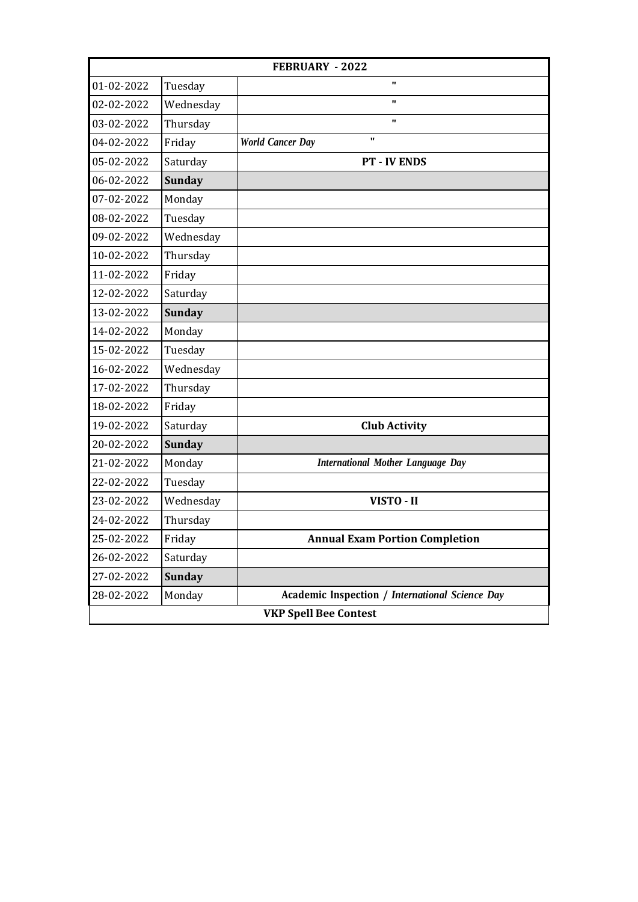|                              | <b>FEBRUARY - 2022</b> |                                                 |  |
|------------------------------|------------------------|-------------------------------------------------|--|
| 01-02-2022                   | Tuesday                | $\mathbf{u}$                                    |  |
| 02-02-2022                   | Wednesday              | $\mathbf{u}$                                    |  |
| 03-02-2022                   | Thursday               | $\mathbf{u}$                                    |  |
| 04-02-2022                   | Friday                 | $\mathbf{u}$<br><b>World Cancer Day</b>         |  |
| 05-02-2022                   | Saturday               | <b>PT - IV ENDS</b>                             |  |
| 06-02-2022                   | <b>Sunday</b>          |                                                 |  |
| 07-02-2022                   | Monday                 |                                                 |  |
| 08-02-2022                   | Tuesday                |                                                 |  |
| 09-02-2022                   | Wednesday              |                                                 |  |
| 10-02-2022                   | Thursday               |                                                 |  |
| 11-02-2022                   | Friday                 |                                                 |  |
| 12-02-2022                   | Saturday               |                                                 |  |
| 13-02-2022                   | <b>Sunday</b>          |                                                 |  |
| 14-02-2022                   | Monday                 |                                                 |  |
| 15-02-2022                   | Tuesday                |                                                 |  |
| 16-02-2022                   | Wednesday              |                                                 |  |
| 17-02-2022                   | Thursday               |                                                 |  |
| 18-02-2022                   | Friday                 |                                                 |  |
| 19-02-2022                   | Saturday               | <b>Club Activity</b>                            |  |
| 20-02-2022                   | <b>Sunday</b>          |                                                 |  |
| 21-02-2022                   | Monday                 | <b>International Mother Language Day</b>        |  |
| 22-02-2022                   | Tuesday                |                                                 |  |
| 23-02-2022                   | Wednesday              | VISTO - II                                      |  |
| 24-02-2022                   | Thursday               |                                                 |  |
| 25-02-2022                   | Friday                 | <b>Annual Exam Portion Completion</b>           |  |
| 26-02-2022                   | Saturday               |                                                 |  |
| 27-02-2022                   | <b>Sunday</b>          |                                                 |  |
| 28-02-2022                   | Monday                 | Academic Inspection / International Science Day |  |
| <b>VKP Spell Bee Contest</b> |                        |                                                 |  |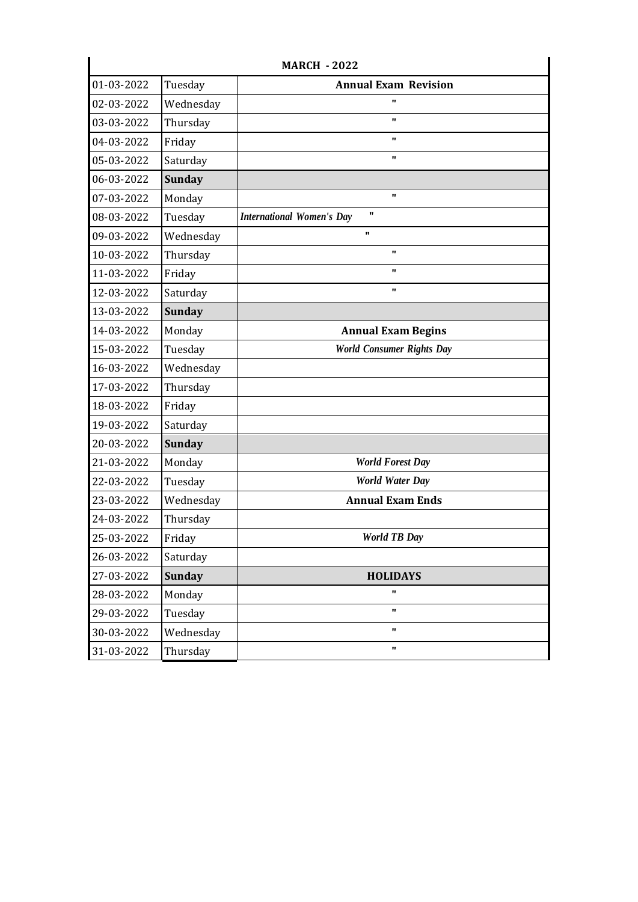| <b>MARCH - 2022</b> |               |                                                  |
|---------------------|---------------|--------------------------------------------------|
| 01-03-2022          | Tuesday       | <b>Annual Exam Revision</b>                      |
| 02-03-2022          | Wednesday     |                                                  |
| 03-03-2022          | Thursday      | $\mathbf{u}$                                     |
| 04-03-2022          | Friday        | $\mathbf{u}$                                     |
| 05-03-2022          | Saturday      | $\mathbf{u}$                                     |
| 06-03-2022          | <b>Sunday</b> |                                                  |
| 07-03-2022          | Monday        | $\mathbf{u}$                                     |
| 08-03-2022          | Tuesday       | $\mathbf{u}$<br><b>International Women's Day</b> |
| 09-03-2022          | Wednesday     | $\mathbf{u}$                                     |
| 10-03-2022          | Thursday      | $\mathbf{u}$                                     |
| 11-03-2022          | Friday        | $\mathbf{u}$                                     |
| 12-03-2022          | Saturday      | $\mathbf{u}$                                     |
| 13-03-2022          | <b>Sunday</b> |                                                  |
| 14-03-2022          | Monday        | <b>Annual Exam Begins</b>                        |
| 15-03-2022          | Tuesday       | <b>World Consumer Rights Day</b>                 |
| 16-03-2022          | Wednesday     |                                                  |
| 17-03-2022          | Thursday      |                                                  |
| 18-03-2022          | Friday        |                                                  |
| 19-03-2022          | Saturday      |                                                  |
| 20-03-2022          | <b>Sunday</b> |                                                  |
| 21-03-2022          | Monday        | <b>World Forest Day</b>                          |
| 22-03-2022          | Tuesday       | <b>World Water Day</b>                           |
| 23-03-2022          | Wednesday     | <b>Annual Exam Ends</b>                          |
| 24-03-2022          | Thursday      |                                                  |
| 25-03-2022          | Friday        | <b>World TB Day</b>                              |
| 26-03-2022          | Saturday      |                                                  |
| 27-03-2022          | <b>Sunday</b> | <b>HOLIDAYS</b>                                  |
| 28-03-2022          | Monday        | $\pmb{\Pi}$                                      |
| 29-03-2022          | Tuesday       | $\mathbf{u}$                                     |
| 30-03-2022          | Wednesday     | $\mathbf{u}$                                     |
| 31-03-2022          | Thursday      | $\mathbf{u}$                                     |